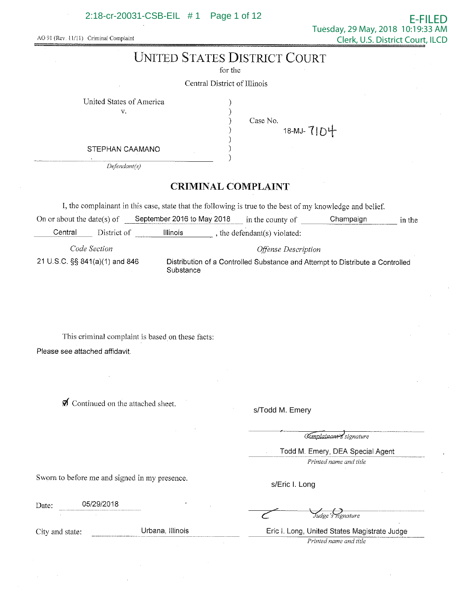### 2:18-cr-20031-CSB-EIL # 1 Page 1 of 12

AO 91 (Rev. 11/11) Criminal Complaint

# **UNITED STATES DISTRICT COURT**

for the

Central District of lllinois

United States of America

V.

) ) ) Case No.

> ) ) )

)

18-MJ-7104

STEPHAN CAAMANO

*Defendant(s)* 

# **CRIMINAL COMPLAINT**

I, the complainant in this case, state that the following is true to the best of my knowledge and belief

On or about the date(s) of September 2016 to May 2018 in the county of Champaign in the Central District of Illinois, the defendant(s) violated:

*Code Section Offense Description*  21 U.S.C. §§ 841(a)(1) and 846 Distribution of a Controlled Substance and Attempt to Distribute a Controlled Substance

This criminal complaint is based on these facts: Please see attached affidavit.

 $\mathcal I$  Continued on the attached sheet.

s/Todd M. Emery

Complainant signature

- -

Todd M. Emery, DEA Special Agent

*Printed name and title* 

Sworn to before me and signed in my presence.

Date: 05/29/2018

City and state: Urbana, Illinois

s/Eric I. Long

Eric I. Long, United States Magistrate Judge -=--- *Printed name and title* 

Judge's signature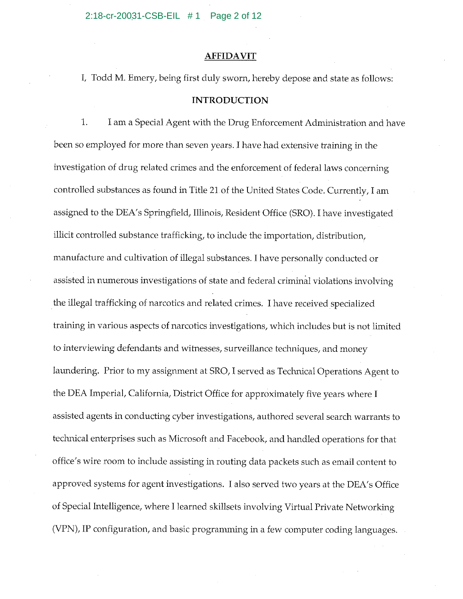#### **AFFIDAVIT**

I, Todd M. Emery, being first duly sworn, hereby depose and state as follows:

#### **INTRODUCTION**

1. I am a Special Agent with the Drug Enforcement Administration and have been so employed for more than seven years. I have had extensive training in the investigation of drug related crimes and the enforcement of federal laws concerning controlled substances as found in Title 21 of the United States Code. Currently, I am assigned to the DEA's Springfield, Illinois, Resident Office (SRO). I have investigated illicit controlled substance trafficking, to include the importation, distribution, manufacture and cultivation of illegal substances. I have personally conducted or assisted in numerous investigations of state and federal criminal violations involving the illegal trafficking of narcotics and related crimes. I have received specialized training in various aspects of narcotics investigations, which includes but is not limited to interviewing defendants and witnesses, surveillance techniques, and money laundering. Prior to my assignment at SRO, I served as Technical Operations Agent to the DEA Imperial, California, District Office for approximately five years where I assisted agents in conducting cyber investigations, authored several search warrants to technical enterprises such as Microsoft and Facebook, and handled operations for that office's wire room to include assisting in routing data packets such as email content to approved systems for agent investigations. I also served two years at the DEA's Office of Special Intelligence, where I learned skillsets involving Virtual Private Networking (VPN), IP configuration, and basic programming in a few computer coding languages.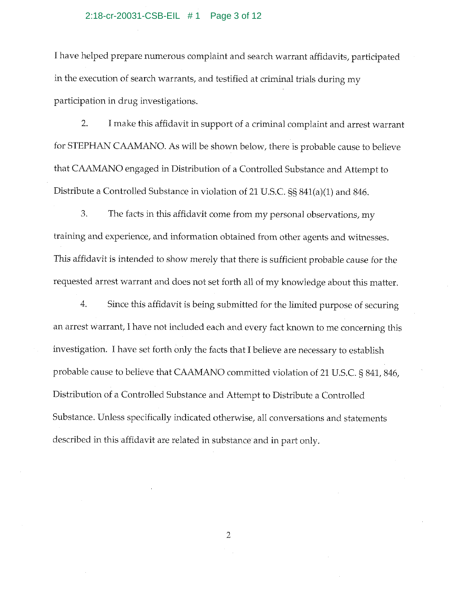#### 2:18-cr-20031-CSB-EIL # 1 Page 3 of 12

I have helped prepare numerous complaint and search warrant affidavits, participated in the execution of search warrants, and testified at criminal trials during my participation in drug investigations.

2. I make this affidavit in support of a criminal complaint and arrest warrant for STEPHAN CAAMANO. As will be shown below, there is probable cause to believe that CAAMANO engaged in Distribution of a Controlled Substance and Attempt to Distribute a Controlled Substance in violation of 21 U.S.C. §§ 841(a)(l) and 846.

3. The facts in this affidavit come from my personal observations, my training and experience, and information obtained from other agents and witnesses. This affidavit is intended to show merely that there is sufficient probable cause for the requested arrest warrant and does not set forth all of my knowledge about this matter.

4. Since this affidavit is being submitted for the limited purpose of securing an arrest warrant, I have not included each and every fact known to me concerning this investigation. I have set forth only the facts that I believe are necessary to establish probable cause to believe that CAAMANO committed violation of 21 U.S.C. § 841, 846, Distribution of a Controlled Substance and Attempt to Distribute a Controlled Substance. Unless specifically indicated otherwise, all conversations and statements described in this affidavit are related in substance and in part only.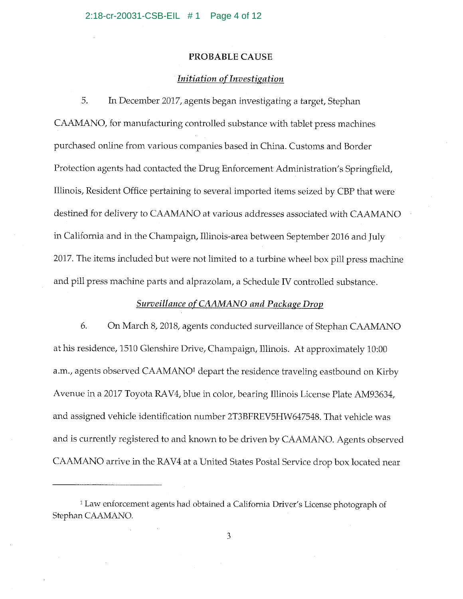#### PROBABLE CAUSE

#### *Initiation of Investigation*

5. In December 2017, agents began investigating a target, Stephan CAAMANO, for manufacturing controlled substance with tablet press machines purchased online from various companies based in China. Customs and Border Protection agents had contacted the Drug Enforcement Administration's Springfield, Illinois, Resident Office pertaining to several imported items seized by CBP that were destined for delivery to CAAMANO at various addresses associated with CAAMANO in California and in the Champaign, Illinois-area between September 2016 and July 2017. The items included but were not limited to a turbine wheel box pill press machine and pill press machine parts and alprazolam, a Schedule IV controlled substance.

## *Surveillance of CAAMANO and Package Drop*

6. On March 8, 2018, agents conducted surveillance of Stephan CAAMANO at his residence, 1510 Glenshire Drive, Champaign, Illinois. At approximately 10:00 a.m., agents observed CAAMANO<sup>1</sup> depart the residence traveling eastbound on Kirby Avenue in a 2017 Toyota RAV4, blue in color, bearing Illinois License Plate AM93634, and assigned vehicle identification number 2T3BFREV5HW647548. That vehicle was and is currently registered to and known to be driven by CAAMANO. Agents observed CAAMANO arrive in the RAV4 at a United States Postal Service drop box located near

<sup>&</sup>lt;sup>1</sup> Law enforcement agents had obtained a California Driver's License photograph of Stephan CAAMANO.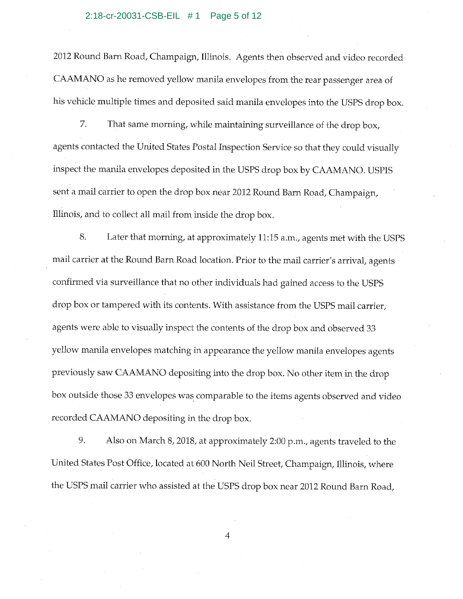2012 Round Barn Road, Champaign, Illinois. Agents then observed and video recorded CAAMANO as he removed yellow manila envelopes from the rear passenger area of his vehicle multiple times and deposited said manila envelopes into the USPS drop box.

7. That same morning, while maintaining surveillance of the drop box, agents contacted the United States Postal Inspection Service so that they could visually inspect the manila envelopes deposited in the USPS drop box by CAAMANO. USPIS sent a mail carrier to open the drop box near 2012 Round Barn Road, Champaign, Illinois, and to collect all mail from inside the drop box.

8. Later that morning, at approximately 11:15 a.m., agents met with the USPS mail carrier at the Round Barn Road location. Prior to the mail carrier's arrival, agents confirmed via surveillance that no other individuals had gained access to the USPS drop box or tampered with its contents. With assistance from the USPS mail carrier, agents were able to visually inspect the contents of the drop box and observed 33 yellow manila envelopes matching in appearance the yellow manila envelopes agents previously saw CAAMANO depositing into the drop box. No other item in the drop box outside those 33 envelopes was comparable to the items agents observed and video recorded CAAMANO depositing in the drop box.

9. Also on March 8, 2018, at approximately 2:00 p.m., agents traveled to the United States Post Office, located at 600 North Neil Street, Champaign, Illinois, where the USPS mail carrier who assisted at the USPS drop box near 2012 Round Barn Road,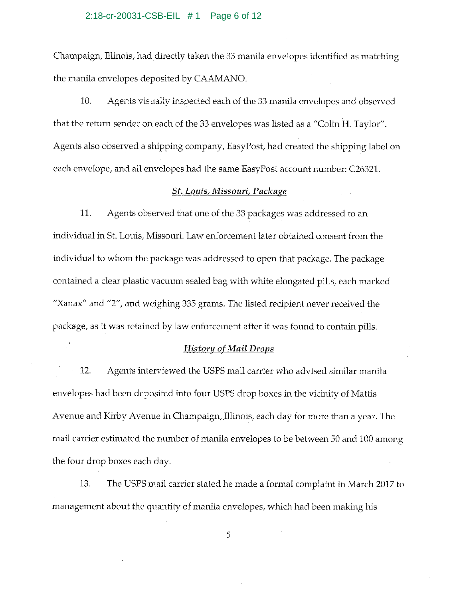Champaign, Illinois, had directly taken the 33 manila envelopes identified as matching the manila envelopes deposited by CAAMANO.

10. Agents visually inspected each of the 33 manila envelopes and observed that the return sender on each of the 33 envelopes was listed as a "Colin H. Taylor". Agents also observed a shipping company, Easy Post, had created the shipping label on each envelope, and all envelopes had the same EasyPost account number: C26321.

#### *St. Louis, Missouri, Package*

11. Agents observed that one of the 33 packages was addressed to an individual in St. Louis, Missouri. Law enforcement later obtained consent from the individual to whom the package was addressed to open that package. The package contained a clear plastic vacuum sealed bag with white elongated pills, each marked "Xanax" and "2", and weighing 335 grams. The listed recipient never received the package, as it was retained by law enforcement after it was found to contain pills.

## *History of Mail Drops*

12. Agents interviewed the USPS mail carrier who advised similar manila envelopes had been deposited into four USPS drop boxes in the vicinity of Mattis Avenue and Kirby Avenue in Champaign, Illinois, each day for more than a year. The mail carrier estimated the number of manila envelopes to be between 50 and 100 among the four drop boxes each day.

13. The USPS mail carrier stated he made a formal complaint in March 2017 to management about the quantity of manila envelopes, which had been making his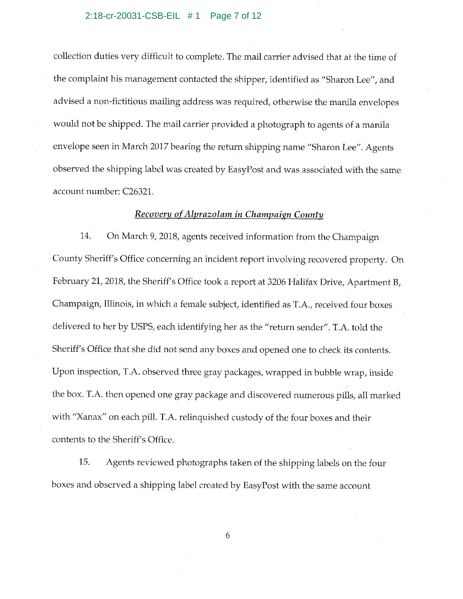collection duties very difficult to complete. The mail carrier advised that at the time of the complaint his management contacted the shipper, identified as "Sharon Lee", and advised a non-fictitious mailing address was required, otherwise the manila envelopes would not be shipped. The mail carrier provided a photograph to agents of a manila envelope seen in March 2017 bearing the return shipping name "Sharon Lee". Agents observed the shipping label was created by EasyPost and was associated with the same account number: C26321.

#### *Recovery of Alprazolam in Champaign County*

14. On March 9, 2018, agents received information from the Champaign County Sheriff's Office concerning an incident report involving recovered property. On February 21, 2018, the Sheriff's Office took a report at 3206 Halifax Drive, Apartment B, Champaign, Illinois, in which a female subject, identified as T.A., received four boxes delivered to her by USPS, each identifying her as the "return sender". T.A. told the Sheriff's Office that she did not send any boxes and opened one to check its contents. Upon inspection, T.A. observed three gray packages, wrapped in bubble wrap, inside the box. T.A. then opened one gray package and discovered numerous pills, all marked with "Xanax" on each pill. T.A. relinquished custody of the four boxes and their contents to the Sheriff's Office.

15. Agents reviewed photographs taken of the shipping labels on the four boxes and observed a shipping label created by EasyPost with the same account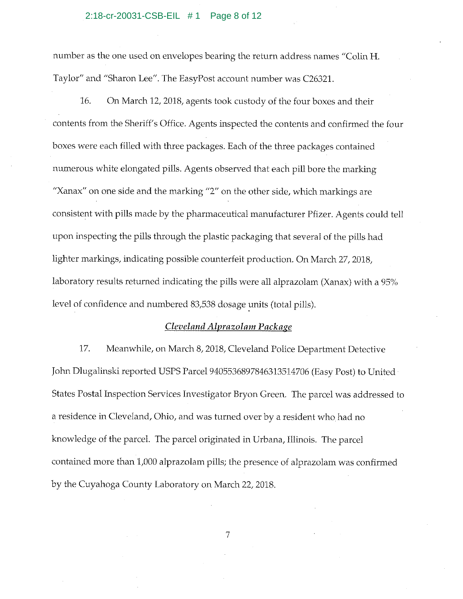#### 2:18-cr-20031-CSB-EIL # 1 Page 8 of 12

number as the one used on envelopes bearing the return address names "Colin H. Taylor" and "Sharon Lee". The EasyPost account number was C26321.

16. On March 12, 2018, agents took custody of the four boxes and their contents from the Sheriff's Office. Agents inspected the contents and confirmed the four boxes were each filled with three packages. Each of the three packages contained numerous white elongated pills. Agents observed that each pill bore the marking "Xanax" on one side and the marking "2" on the other side, which markings are consistent with pills made by the pharmaceutical manufacturer Pfizer. Agents could tell upon inspecting the pills through the plastic packaging that several of the pills had lighter markings, indicating possible counterfeit production. On March 27, 2018, laboratory results returned indicating the pills were all alprazolam (Xanax) with a 95% level of confidence and numbered 83,538 dosage units (total pills).

## *Cleveland Alprazolam Package*

17. Meanwhile, on March 8, 2018, Cleveland Police Department Detective John Dlugalinski reported USPS Parcel 9405536897846313514706 (Easy Post) to United States Postal Inspection Services Investigator Bryon Green. The parcel was addressed to a residence in Cleveland, Ohio, and was turned over by a resident who had no knowledge of the parcel. The parcel originated in Urbana, IIIinois. The parcel contained more than 1,000 alprazolam pills; the presence of alprazolam was confirmed by the Cuyahoga County Laboratory on March 22, 2018.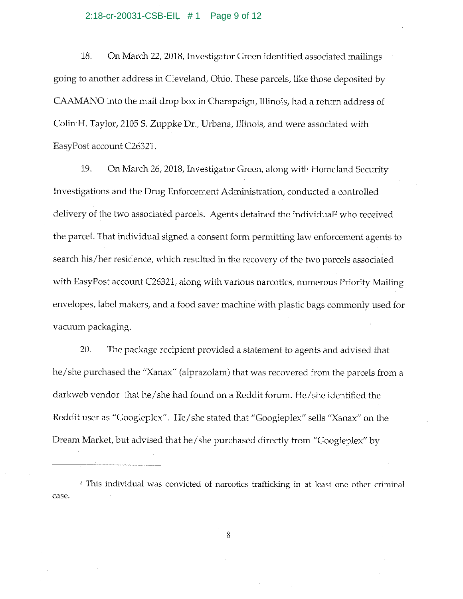#### 2:18-cr-20031-CSB-EIL # 1 Page 9 of 12

18. On March 22, 2018, Investigator Green identified associated mailings going to another address in Cleveland, Ohio. These parcels, like those deposited by CAAMANO into the mail drop box in Champaign, Illinois, had a return address of Colin H. Taylor, 2105 S. Zuppke Dr., Urbana, Illinois, and were associated with EasyPost account C26321.

19. On March 26, 2018, Investigator Green, along with Homeland Security Investigations and the Drug Enforcement Administration, conducted a controlled delivery of the two associated parcels. Agents detained the individual<sup>2</sup> who received the parcel. That individual signed a consent form permitting law enforcement agents to search his/her residence, which resulted in the recovery of the two parcels associated with EasyPost account C26321, along with various narcotics, numerous Priority Mailing envelopes, label makers, and a food saver machine with plastic bags commonly used for vacuum packaging.

20. The package recipient provided a statement to agents and advised that he/ she purchased the "Xanax" (alprazolam) that was recovered from the parcels from a darkweb vendor that he/ she had found on a Reddit forum. He/ she identified the Reddit user as "Googleplex". He/she stated that "Googleplex" sells "Xanax" on the Dream Market, but advised that he/ she purchased directly from "Googleplex" by

<sup>2</sup> This individual was convicted of narcotics trafficking in at least one other criminal case.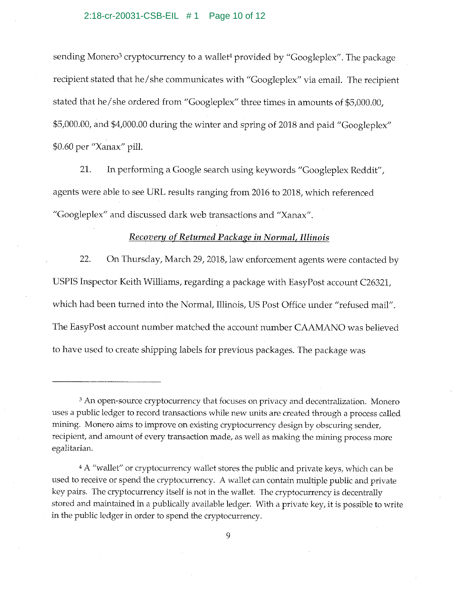#### 2:18-cr-20031-CSB-EIL # 1 Page 10 of 12

sending Monero<sup>3</sup> cryptocurrency to a wallet<sup>4</sup> provided by "Googleplex". The package recipient stated that he/ she communicates with "Googleplex" via email. The recipient stated that he/ she ordered from "Googleplex" three times in amounts of \$5,000.00, \$5,000.00, and \$4,000.00 during the winter and spring of 2018 and paid "Googleplex" \$0 .60 per "Xanax" pill.

21. In performing a Google search using keywords "Googleplex Reddit", agents were able to see URL results ranging from 2016 to 2018, which referenced "Googleplex" and discussed dark web transactions and "Xanax".

## *Recovery of Returned Package in Normal, Illinois*

22. On Thursday, March 29, 2018, law enforcement agents were contacted by USPIS Inspector Keith Williams, regarding a package with EasyPost account C26321, which had been turned into the Normal, Illinois, US Post Office under "refused mail". The EasyPost account number matched the account number CAAMANO was believed to have used to create shipping labels for previous packages. The package was

<sup>3</sup>An open-source cryptocurrency that focuses on privacy and decentralization. Monero uses a public ledger to record transactions while new units are created through a process called mining. Monera aims to improve on existing cryptocurrency design by obscuring sender, recipient, and amount of every transaction made, as well as making the mining process more egalitarian.

<sup>&</sup>lt;sup>4</sup> A "wallet" or cryptocurrency wallet stores the public and private keys, which can be used to receive or spend the cryptocurrency. A wallet can contain multiple public and private key pairs. The cryptocurrency itself is not in the wallet. The cryptocurrency is decentrally stored and maintained in a publically available ledger. With a private key, it is possible to write in the public ledger in order to spend the cryptocurrency.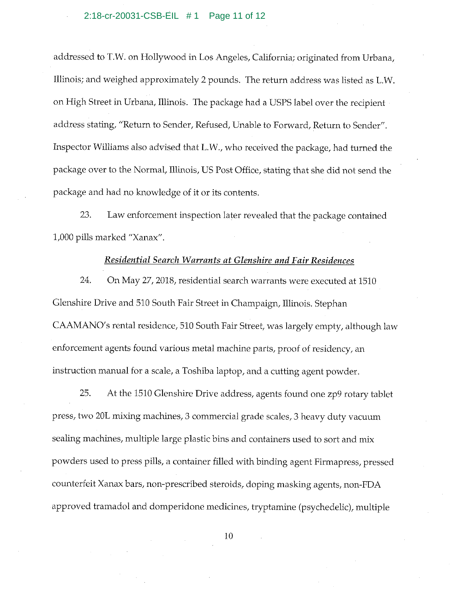addressed to T.W. on Hollywood in Los Angeles, California; originated from Urbana, Illinois; and weighed approximately 2 pounds. The return address was listed as L.W. on High Street in Urbana, Illinois. The package had a USPS label over the recipient address stating, "Return to Sender, Refused, Unable to Forward, Return to Sender". Inspector Williams also advised that L.W., who received the package, had turned the package over to the Normal, Illinois, US Post Office, stating that she did not send the package and had no knowledge of it or its contents.

23. Law enforcement inspection later revealed that the package contained 1,000 pills marked "Xanax".

#### *Residential Search Warrants at Glenshire and Fair Residences*

24. On May 27, 2018, residential search warrants were executed at 1510 Glenshire Drive and 510 South Fair Street in Champaign, Illinois. Stephan CAAMANO's rental residence, 510 South Fair Street, was largely empty, although law enforcement agents found various metal machine parts, proof of residency, an instruction manual for a scale, a Toshiba laptop, and a cutting agent powder.

25. At the 1510 Glenshire Drive address, agents found one zp9 rotary tablet press, two 20L mixing machines, 3 commercial grade scales, 3 heavy duty vacuum sealing machines, multiple large plastic bins and containers used to sort and mix powders used to press pills, a container filled with binding agent Firmapress, pressed counterfeit Xanax bars, non-prescribed steroids, doping masking agents, non-FDA approved tramadol and domperidone medicines, tryptamine (psychedelic), multiple